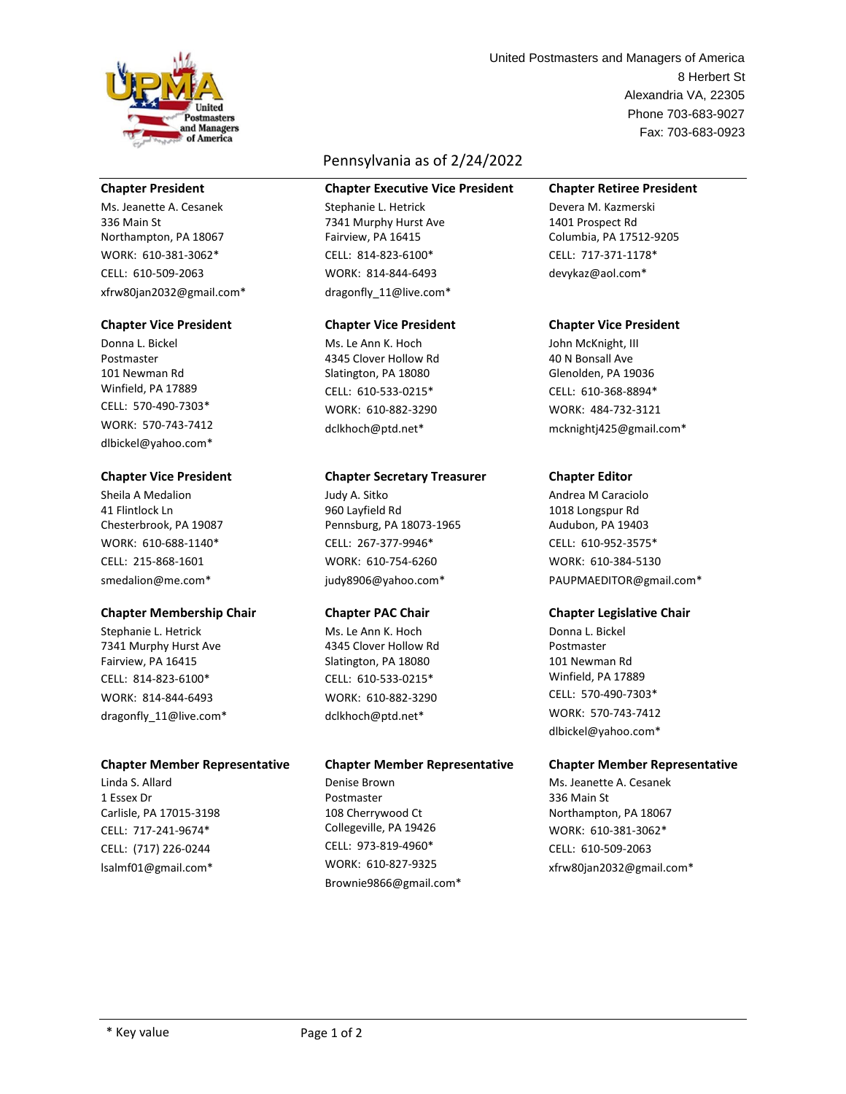

### **Chapter President**

Ms. Jeanette A. Cesanek 336 Main St Northampton, PA 18067 WORK: 610-381-3062\* CELL: 610-509-2063 xfrw80jan2032@gmail.com\*

### **Chapter Vice President**

Donna L. Bickel Postmaster 101 Newman Rd Winfield, PA 17889 CELL: 570-490-7303\* WORK: 570-743-7412 dlbickel@yahoo.com\*

### **Chapter Vice President**

Sheila A Medalion 41 Flintlock Ln Chesterbrook, PA 19087 WORK: 610-688-1140\* CELL: 215-868-1601 smedalion@me.com\*

# **Chapter Membership Chair**

Stephanie L. Hetrick 7341 Murphy Hurst Ave Fairview, PA 16415 CELL: 814-823-6100\* WORK: 814-844-6493 dragonfly 11@live.com\*

### **Chapter Member Representative**

Linda S. Allard 1 Essex Dr Carlisle, PA 17015-3198 CELL: 717-241-9674\* CELL: (717) 226-0244 lsalmf01@gmail.com\*

# Pennsylvania as of 2/24/2022

### **Chapter Executive Vice President**

Stephanie L. Hetrick 7341 Murphy Hurst Ave Fairview, PA 16415 CELL: 814-823-6100\* WORK: 814-844-6493 dragonfly\_11@live.com\*

### **Chapter Vice President**

Ms. Le Ann K. Hoch 4345 Clover Hollow Rd Slatington, PA 18080 CELL: 610-533-0215\* WORK: 610-882-3290 dclkhoch@ptd.net\*

### **Chapter Secretary Treasurer**

Judy A. Sitko 960 Layfield Rd Pennsburg, PA 18073-1965 CELL: 267-377-9946\* WORK: 610-754-6260 judy8906@yahoo.com\*

### **Chapter PAC Chair**

Ms. Le Ann K. Hoch 4345 Clover Hollow Rd Slatington, PA 18080 CELL: 610-533-0215\* WORK: 610-882-3290 dclkhoch@ptd.net\*

### **Chapter Member Representative**

Denise Brown Postmaster 108 Cherrywood Ct Collegeville, PA 19426 CELL: 973-819-4960\* WORK: 610-827-9325 Brownie9866@gmail.com\*

Alexandria VA, 22305 Phone 703-683-9027 8 Herbert St Fax: 703-683-0923 United Postmasters and Managers of America

# **Chapter Retiree President**

Devera M. Kazmerski 1401 Prospect Rd Columbia, PA 17512-9205 CELL: 717-371-1178\* devykaz@aol.com\*

### **Chapter Vice President**

John McKnight, III 40 N Bonsall Ave Glenolden, PA 19036 CELL: 610-368-8894\* WORK: 484-732-3121 mcknightj425@gmail.com\*

## **Chapter Editor**

Andrea M Caraciolo 1018 Longspur Rd Audubon, PA 19403 CELL: 610-952-3575\* WORK: 610-384-5130 PAUPMAEDITOR@gmail.com\*

### **Chapter Legislative Chair**

Donna L. Bickel Postmaster 101 Newman Rd Winfield, PA 17889 CELL: 570-490-7303\* WORK: 570-743-7412 dlbickel@yahoo.com\*

### **Chapter Member Representative**

Ms. Jeanette A. Cesanek 336 Main St Northampton, PA 18067 WORK: 610-381-3062\* CELL: 610-509-2063 xfrw80jan2032@gmail.com\*